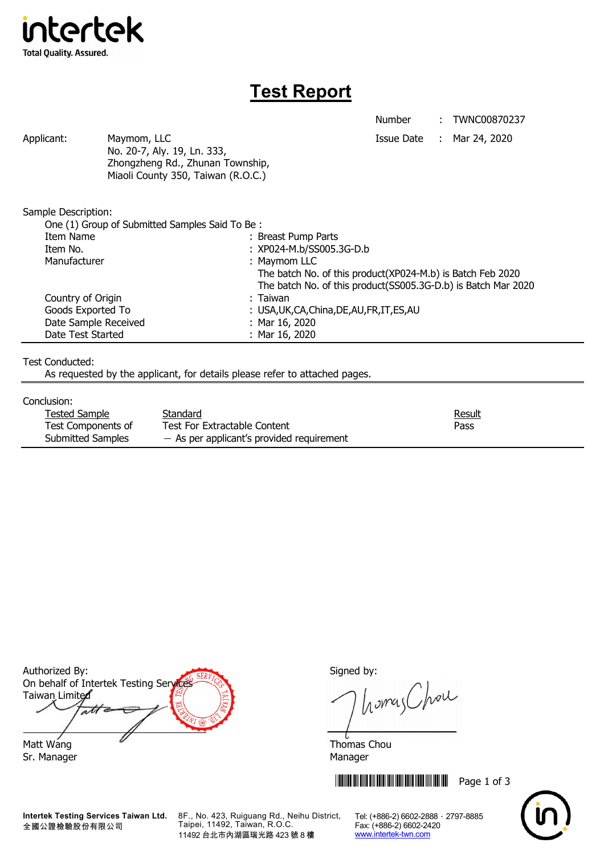

# **Test Report**

Number : TWNC00870237

Applicant: Maymom, LLC Maymon, ILC Applicant: Mar 24, 2020 No. 20-7, Aly. 19, Ln. 333, Zhongzheng Rd., Zhunan Township, Miaoli County 350, Taiwan (R.O.C.)

Sample Description:

| One (1) Group of Submitted Samples Said To Be: |                                                               |  |
|------------------------------------------------|---------------------------------------------------------------|--|
| Item Name                                      | : Breast Pump Parts                                           |  |
| Item No.                                       | : XP024-M.b/SS005.3G-D.b                                      |  |
| Manufacturer                                   | : Maymom LLC                                                  |  |
|                                                | The batch No. of this product(XP024-M.b) is Batch Feb 2020    |  |
|                                                | The batch No. of this product(SS005.3G-D.b) is Batch Mar 2020 |  |
| Country of Origin                              | : Taiwan                                                      |  |
| Goods Exported To                              | : USA, UK, CA, China, DE, AU, FR, IT, ES, AU                  |  |
| Date Sample Received                           | : Mar $16, 2020$                                              |  |
| Date Test Started                              | : Mar 16, 2020                                                |  |

### Test Conducted:

As requested by the applicant, for details please refer to attached pages.

#### Conclusion:

| Tested Sample      | Standard                                    | <u>Result</u> |
|--------------------|---------------------------------------------|---------------|
| Test Components of | Test For Extractable Content                | Pass          |
| Submitted Samples  | $-$ As per applicant's provided requirement |               |

Authorized By: Signed by: On behalf of Intertek Testing Services Taiwan Limited  $\overline{a}$ Matt Wang  $\overline{a}$  Matt Wang

Sr. Manager Manager Manager Manager Manager

**Intertek Testing Services Taiwan Ltd.** 全國公證檢驗股份有限公司

8F., No. 423, Ruiguang Rd., Neihu District, Taipei, 11492, Taiwan, R.O.C. 11492 台北市內湖區瑞光路 423 號 8 樓

homes Chou

**THEFT READERS IN THE READER IN THE READER IN THE READER IN THE READER IN THE READER IN THE READER IN THE READER** 



Tel: (+886-2) 6602-2888 · 2797-8885 Fax: (+886-2) 6602-2420 www.intertek-twn.com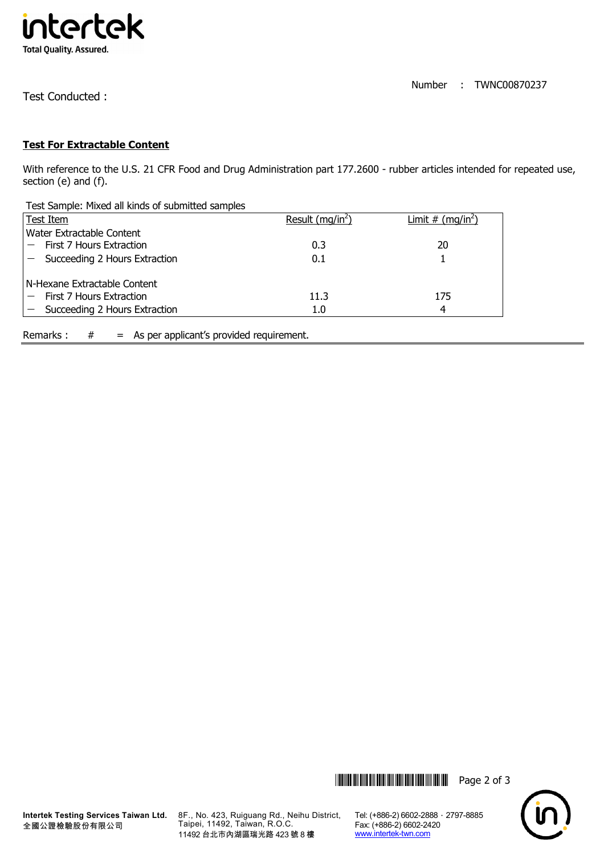

Number : TWNC00870237

Test Conducted :

## **Test For Extractable Content**

With reference to the U.S. 21 CFR Food and Drug Administration part 177.2600 - rubber articles intended for repeated use, section (e) and (f).

| Test Sample: Mixed all kinds of submitted samples |                     |                                    |
|---------------------------------------------------|---------------------|------------------------------------|
| Test Item                                         | Result ( $mq/in2$ ) | <u>Limit # (mg/in<sup>2</sup>)</u> |
| Water Extractable Content                         |                     |                                    |
| First 7 Hours Extraction                          | 0.3                 | 20                                 |
| Succeeding 2 Hours Extraction                     | 0.1                 |                                    |
| N-Hexane Extractable Content                      |                     |                                    |
| First 7 Hours Extraction                          | 11.3                | 175                                |
| Succeeding 2 Hours Extraction                     | 1.0                 | 4                                  |
|                                                   |                     |                                    |

Remarks :  $#$  = As per applicant's provided requirement.





Tel: (+886-2) 6602-2888 · 2797-8885 Fax: (+886-2) 6602-2420 www.intertek-twn.com